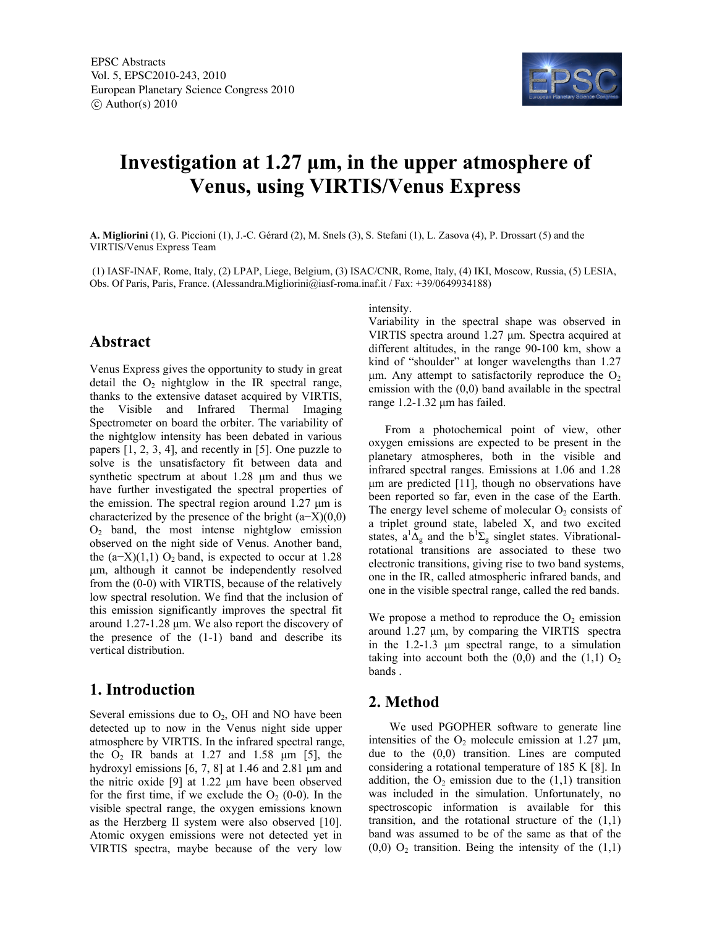

# **Investigation at 1.27 μm, in the upper atmosphere of Venus, using VIRTIS/Venus Express**

**A. Migliorini** (1), G. Piccioni (1), J.-C. Gérard (2), M. Snels (3), S. Stefani (1), L. Zasova (4), P. Drossart (5) and the VIRTIS/Venus Express Team

 (1) IASF-INAF, Rome, Italy, (2) LPAP, Liege, Belgium, (3) ISAC/CNR, Rome, Italy, (4) IKI, Moscow, Russia, (5) LESIA, Obs. Of Paris, Paris, France. (Alessandra.Migliorini@iasf-roma.inaf.it / Fax: +39/0649934188)

#### **Abstract**

Venus Express gives the opportunity to study in great detail the  $O_2$  nightglow in the IR spectral range, thanks to the extensive dataset acquired by VIRTIS, the Visible and Infrared Thermal Imaging Spectrometer on board the orbiter. The variability of the nightglow intensity has been debated in various papers [1, 2, 3, 4], and recently in [5]. One puzzle to solve is the unsatisfactory fit between data and synthetic spectrum at about 1.28 μm and thus we have further investigated the spectral properties of the emission. The spectral region around 1.27 μm is characterized by the presence of the bright  $(a-X)(0,0)$ O2 band, the most intense nightglow emission observed on the night side of Venus. Another band, the  $(a-X)(1,1)$  O<sub>2</sub> band, is expected to occur at 1.28 μm, although it cannot be independently resolved from the (0-0) with VIRTIS, because of the relatively low spectral resolution. We find that the inclusion of this emission significantly improves the spectral fit around 1.27-1.28 μm. We also report the discovery of the presence of the (1-1) band and describe its vertical distribution.

# **1. Introduction**

Several emissions due to  $O_2$ , OH and NO have been detected up to now in the Venus night side upper atmosphere by VIRTIS. In the infrared spectral range, the  $O_2$  IR bands at 1.27 and 1.58  $\mu$ m [5], the hydroxyl emissions [6, 7, 8] at 1.46 and 2.81 μm and the nitric oxide [9] at 1.22 μm have been observed for the first time, if we exclude the  $O_2$  (0-0). In the visible spectral range, the oxygen emissions known as the Herzberg II system were also observed [10]. Atomic oxygen emissions were not detected yet in VIRTIS spectra, maybe because of the very low

intensity.

Variability in the spectral shape was observed in VIRTIS spectra around 1.27 μm. Spectra acquired at different altitudes, in the range 90-100 km, show a kind of "shoulder" at longer wavelengths than 1.27 μm. Any attempt to satisfactorily reproduce the  $O<sub>2</sub>$ emission with the (0,0) band available in the spectral range 1.2-1.32 μm has failed.

From a photochemical point of view, other oxygen emissions are expected to be present in the planetary atmospheres, both in the visible and infrared spectral ranges. Emissions at 1.06 and 1.28 μm are predicted [11], though no observations have been reported so far, even in the case of the Earth. The energy level scheme of molecular  $O<sub>2</sub>$  consists of a triplet ground state, labeled X, and two excited states,  $a^1\Delta_g$  and the  $b^1\Sigma_g$  singlet states. Vibrationalrotational transitions are associated to these two electronic transitions, giving rise to two band systems, one in the IR, called atmospheric infrared bands, and one in the visible spectral range, called the red bands.

We propose a method to reproduce the  $O_2$  emission around 1.27 μm, by comparing the VIRTIS spectra in the 1.2-1.3 μm spectral range, to a simulation taking into account both the  $(0,0)$  and the  $(1,1)$  O<sub>2</sub> bands .

### **2. Method**

We used PGOPHER software to generate line intensities of the  $O_2$  molecule emission at 1.27  $\mu$ m, due to the (0,0) transition. Lines are computed considering a rotational temperature of 185 K [8]. In addition, the  $O_2$  emission due to the  $(1,1)$  transition was included in the simulation. Unfortunately, no spectroscopic information is available for this transition, and the rotational structure of the  $(1,1)$ band was assumed to be of the same as that of the  $(0,0)$  O<sub>2</sub> transition. Being the intensity of the  $(1,1)$